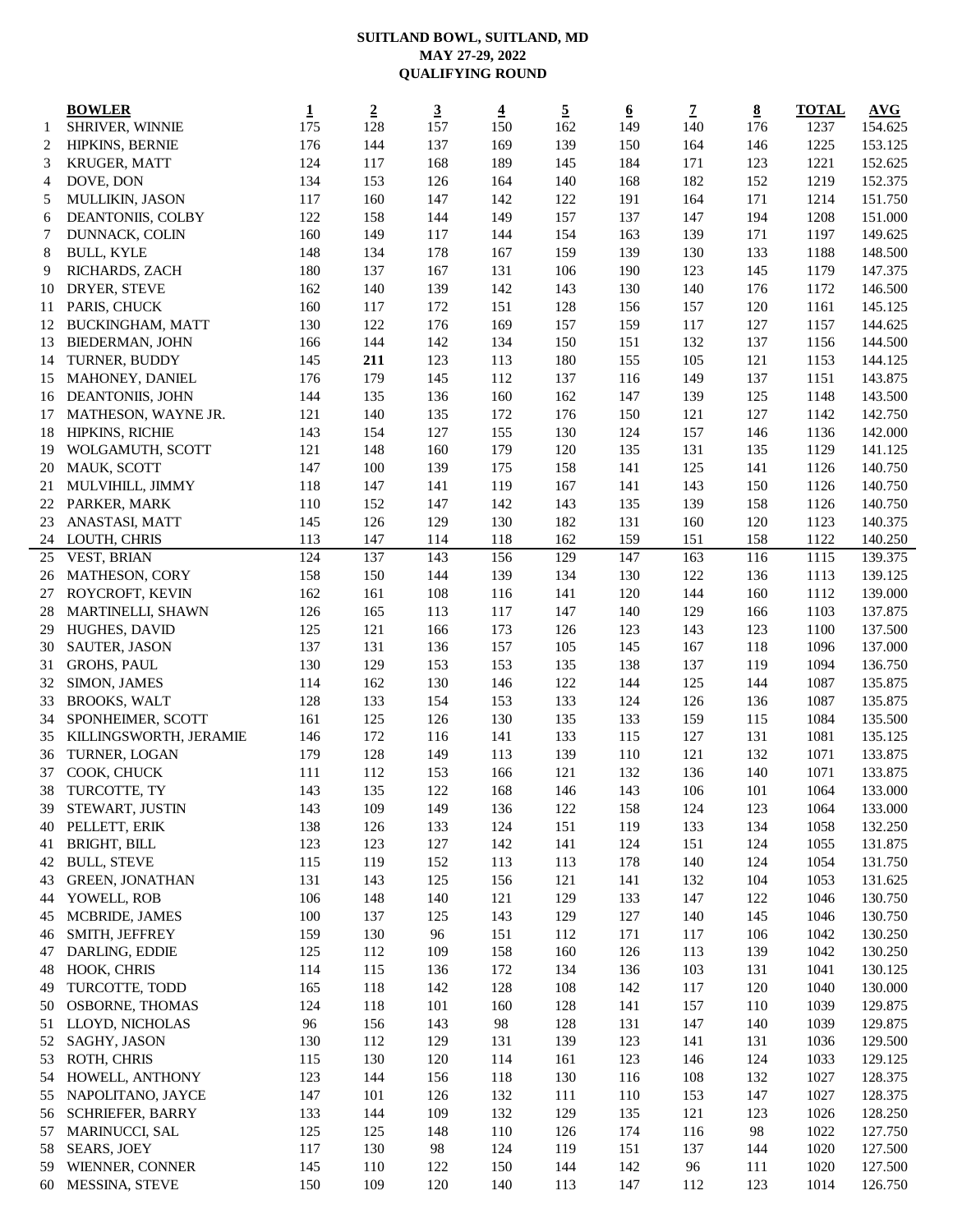## **SUITLAND BOWL, SUITLAND, MD MAY 27-29, 2022 QUALIFYING ROUND**

|                | <b>BOWLER</b>           | $\mathbf 1$ | $\overline{2}$ | $\overline{3}$ | $\overline{\mathbf{4}}$ | $\overline{5}$ | <u>6</u> | $\mathbf 7$ | $\underline{8}$ | <b>TOTAL</b> | AVG     |
|----------------|-------------------------|-------------|----------------|----------------|-------------------------|----------------|----------|-------------|-----------------|--------------|---------|
| 1              | SHRIVER, WINNIE         | 175         | 128            | 157            | 150                     | 162            | 149      | 140         | 176             | 1237         | 154.625 |
| $\overline{2}$ | HIPKINS, BERNIE         | 176         | 144            | 137            | 169                     | 139            | 150      | 164         | 146             | 1225         | 153.125 |
| 3              | KRUGER, MATT            | 124         | 117            | 168            | 189                     | 145            | 184      | 171         | 123             | 1221         | 152.625 |
| $\overline{4}$ | DOVE, DON               | 134         | 153            | 126            | 164                     | 140            | 168      | 182         | 152             | 1219         | 152.375 |
| 5              | MULLIKIN, JASON         | 117         | 160            | 147            | 142                     | 122            | 191      | 164         | 171             | 1214         | 151.750 |
| 6              | DEANTONIIS, COLBY       | 122         | 158            | 144            | 149                     | 157            | 137      | 147         | 194             | 1208         | 151.000 |
| $\overline{7}$ | DUNNACK, COLIN          | 160         | 149            | 117            | 144                     | 154            | 163      | 139         | 171             | 1197         | 149.625 |
|                |                         |             |                |                |                         |                |          |             |                 |              |         |
| 8              | <b>BULL, KYLE</b>       | 148         | 134            | 178            | 167                     | 159            | 139      | 130         | 133             | 1188         | 148.500 |
| 9              | RICHARDS, ZACH          | 180         | 137            | 167            | 131                     | 106            | 190      | 123         | 145             | 1179         | 147.375 |
| 10             | DRYER, STEVE            | 162         | 140            | 139            | 142                     | 143            | 130      | 140         | 176             | 1172         | 146.500 |
| 11             | PARIS, CHUCK            | 160         | 117            | 172            | 151                     | 128            | 156      | 157         | 120             | 1161         | 145.125 |
| 12             | <b>BUCKINGHAM, MATT</b> | 130         | 122            | 176            | 169                     | 157            | 159      | 117         | 127             | 1157         | 144.625 |
| 13             | <b>BIEDERMAN, JOHN</b>  | 166         | 144            | 142            | 134                     | 150            | 151      | 132         | 137             | 1156         | 144.500 |
| 14             | TURNER, BUDDY           | 145         | 211            | 123            | 113                     | 180            | 155      | 105         | 121             | 1153         | 144.125 |
| 15             | MAHONEY, DANIEL         | 176         | 179            | 145            | 112                     | 137            | 116      | 149         | 137             | 1151         | 143.875 |
| 16             | DEANTONIIS, JOHN        | 144         | 135            | 136            | 160                     | 162            | 147      | 139         | 125             | 1148         | 143.500 |
| 17             | MATHESON, WAYNE JR.     | 121         | 140            | 135            | 172                     | 176            | 150      | 121         | 127             | 1142         | 142.750 |
| 18             | <b>HIPKINS, RICHIE</b>  | 143         | 154            | 127            | 155                     | 130            | 124      | 157         | 146             | 1136         | 142.000 |
| 19             | WOLGAMUTH, SCOTT        | 121         | 148            | 160            | 179                     | 120            | 135      | 131         | 135             | 1129         | 141.125 |
| 20             | MAUK, SCOTT             | 147         | 100            | 139            | 175                     | 158            | 141      | 125         | 141             | 1126         | 140.750 |
| 21             | MULVIHILL, JIMMY        | 118         | 147            | 141            | 119                     | 167            | 141      | 143         | 150             | 1126         | 140.750 |
| 22             | PARKER, MARK            | 110         | 152            | 147            | 142                     | 143            | 135      | 139         | 158             | 1126         | 140.750 |
| 23             | ANASTASI, MATT          | 145         | 126            | 129            | 130                     | 182            | 131      | 160         | 120             | 1123         | 140.375 |
| 24             | LOUTH, CHRIS            | 113         | 147            | 114            | 118                     | 162            | 159      | 151         | 158             | 1122         | 140.250 |
| 25             | VEST, BRIAN             | 124         | 137            | 143            | 156                     | 129            | 147      | 163         | 116             | 1115         | 139.375 |
| 26             | MATHESON, CORY          | 158         | 150            | 144            | 139                     | 134            | 130      | 122         | 136             | 1113         | 139.125 |
| 27             | ROYCROFT, KEVIN         | 162         | 161            | 108            | 116                     | 141            | 120      | 144         | 160             | 1112         | 139.000 |
| 28             | MARTINELLI, SHAWN       | 126         | 165            | 113            | 117                     | 147            | 140      | 129         | 166             | 1103         | 137.875 |
|                |                         | 125         | 121            |                | 173                     |                |          | 143         |                 |              | 137.500 |
| 29             | HUGHES, DAVID           |             |                | 166            |                         | 126            | 123      |             | 123             | 1100         |         |
| 30             | SAUTER, JASON           | 137         | 131            | 136            | 157                     | 105            | 145      | 167         | 118             | 1096         | 137.000 |
| 31             | GROHS, PAUL             | 130         | 129            | 153            | 153                     | 135            | 138      | 137         | 119             | 1094         | 136.750 |
| 32             | SIMON, JAMES            | 114         | 162            | 130            | 146                     | 122            | 144      | 125         | 144             | 1087         | 135.875 |
| 33             | <b>BROOKS, WALT</b>     | 128         | 133            | 154            | 153                     | 133            | 124      | 126         | 136             | 1087         | 135.875 |
| 34             | SPONHEIMER, SCOTT       | 161         | 125            | 126            | 130                     | 135            | 133      | 159         | 115             | 1084         | 135.500 |
| 35             | KILLINGSWORTH, JERAMIE  | 146         | 172            | 116            | 141                     | 133            | 115      | 127         | 131             | 1081         | 135.125 |
| 36             | TURNER, LOGAN           | 179         | 128            | 149            | 113                     | 139            | 110      | 121         | 132             | 1071         | 133.875 |
| 37             | COOK, CHUCK             | 111         | 112            | 153            | 166                     | 121            | 132      | 136         | 140             | 1071         | 133.875 |
| 38             | TURCOTTE, TY            | 143         | 135            | 122            | 168                     | 146            | 143      | 106         | 101             | 1064         | 133.000 |
| 39             | STEWART, JUSTIN         | 143         | 109            | 149            | 136                     | 122            | 158      | 124         | 123             | 1064         | 133.000 |
| 40             | PELLETT, ERIK           | 138         | 126            | 133            | 124                     | 151            | 119      | 133         | 134             | 1058         | 132.250 |
| 41             | BRIGHT, BILL            | 123         | 123            | 127            | 142                     | 141            | 124      | 151         | 124             | 1055         | 131.875 |
| 42             | <b>BULL, STEVE</b>      | 115         | 119            | 152            | 113                     | 113            | 178      | 140         | 124             | 1054         | 131.750 |
| 43             | <b>GREEN, JONATHAN</b>  | 131         | 143            | 125            | 156                     | 121            | 141      | 132         | 104             | 1053         | 131.625 |
| 44             | YOWELL, ROB             | 106         | 148            | 140            | 121                     | 129            | 133      | 147         | 122             | 1046         | 130.750 |
| 45             | MCBRIDE, JAMES          | 100         | 137            | 125            | 143                     | 129            | 127      | 140         | 145             | 1046         | 130.750 |
| 46             | SMITH, JEFFREY          | 159         | 130            | 96             | 151                     | 112            | 171      | 117         | 106             | 1042         | 130.250 |
| 47             | DARLING, EDDIE          | 125         | 112            | 109            | 158                     | 160            | 126      | 113         | 139             | 1042         | 130.250 |
| 48             | HOOK, CHRIS             | 114         | 115            | 136            | 172                     | 134            | 136      | 103         | 131             | 1041         | 130.125 |
| 49             | TURCOTTE, TODD          | 165         | 118            | 142            | 128                     | 108            | 142      | 117         | 120             | 1040         | 130.000 |
| 50             | OSBORNE, THOMAS         | 124         | 118            | 101            | 160                     | 128            | 141      | 157         | 110             | 1039         | 129.875 |
|                |                         |             |                |                |                         |                |          |             |                 |              |         |
| 51             | LLOYD, NICHOLAS         | 96          | 156            | 143            | 98                      | 128            | 131      | 147         | 140             | 1039         | 129.875 |
| 52             | SAGHY, JASON            | 130         | 112            | 129            | 131                     | 139            | 123      | 141         | 131             | 1036         | 129.500 |
| 53             | ROTH, CHRIS             | 115         | 130            | 120            | 114                     | 161            | 123      | 146         | 124             | 1033         | 129.125 |
| 54             | HOWELL, ANTHONY         | 123         | 144            | 156            | 118                     | 130            | 116      | 108         | 132             | 1027         | 128.375 |
| 55             | NAPOLITANO, JAYCE       | 147         | 101            | 126            | 132                     | 111            | 110      | 153         | 147             | 1027         | 128.375 |
| 56             | <b>SCHRIEFER, BARRY</b> | 133         | 144            | 109            | 132                     | 129            | 135      | 121         | 123             | 1026         | 128.250 |
| 57             | MARINUCCI, SAL          | 125         | 125            | 148            | 110                     | 126            | 174      | 116         | 98              | 1022         | 127.750 |
| 58             | SEARS, JOEY             | 117         | 130            | 98             | 124                     | 119            | 151      | 137         | 144             | 1020         | 127.500 |
| 59             | WIENNER, CONNER         | 145         | 110            | 122            | 150                     | 144            | 142      | 96          | 111             | 1020         | 127.500 |
| 60             | MESSINA, STEVE          | 150         | 109            | 120            | 140                     | 113            | 147      | 112         | 123             | 1014         | 126.750 |